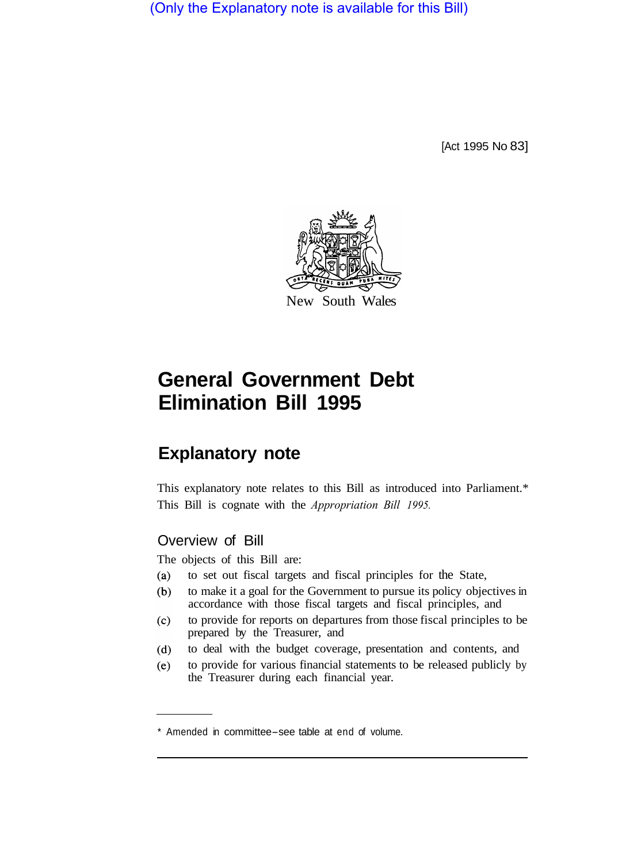(Only the Explanatory note is available for this Bill)

[Act 1995 No 83]



# **General Government Debt Elimination Bill 1995**

## **Explanatory note**

This explanatory note relates to this Bill as introduced into Parliament.\* This Bill is cognate with the *Appropriation Bill 1995.* 

#### Overview of Bill

The objects of this Bill are:

- $(a)$ to set out fiscal targets and fiscal principles for the State,
- to make it a goal for the Government to pursue its policy objectives in  $(b)$ accordance with those fiscal targets and fiscal principles, and
- to provide for reports on departures from those fiscal principles to be  $(c)$ prepared by the Treasurer, and
- to deal with the budget coverage, presentation and contents, and  $(d)$
- to provide for various financial statements to be released publicly by  $(e)$ the Treasurer during each financial year.

<sup>\*</sup> Amended in committee-see table at end of volume.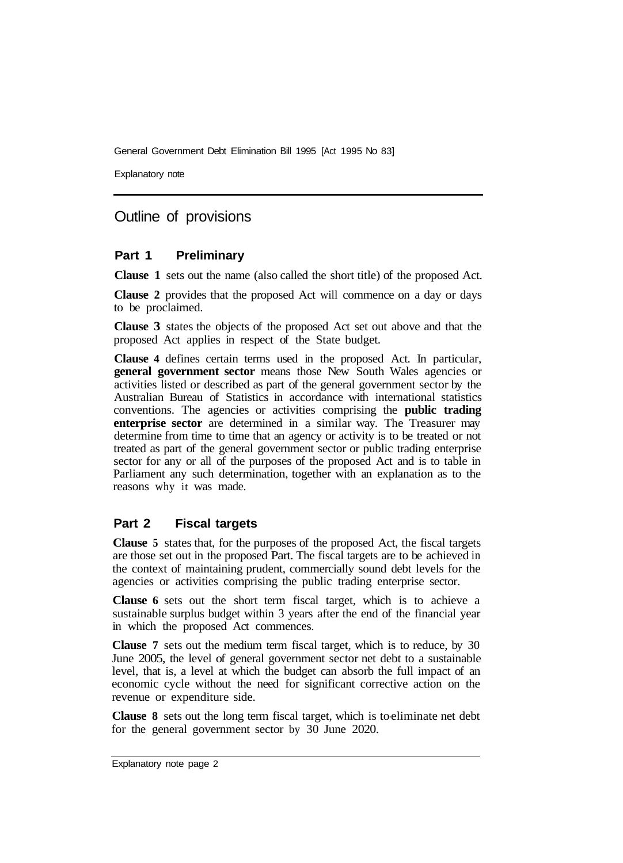Explanatory note

### Outline of provisions

#### **Part 1 Preliminary**

**Clause 1** sets out the name (also called the short title) of the proposed Act.

**Clause 2** provides that the proposed Act will commence on a day or days to be proclaimed.

**Clause 3** states the objects of the proposed Act set out above and that the proposed Act applies in respect of the State budget.

**Clause 4** defines certain terms used in the proposed Act. In particular, **general government sector** means those New South Wales agencies or activities listed or described as part of the general government sector by the Australian Bureau of Statistics in accordance with international statistics conventions. The agencies or activities comprising the **public trading enterprise sector** are determined in a similar way. The Treasurer may determine from time to time that an agency or activity is to be treated or not treated as part of the general government sector or public trading enterprise sector for any or all of the purposes of the proposed Act and is to table in Parliament any such determination, together with an explanation as to the reasons why it was made.

#### **Part 2 Fiscal targets**

**Clause 5** states that, for the purposes of the proposed Act, the fiscal targets are those set out in the proposed Part. The fiscal targets are to be achieved in the context of maintaining prudent, commercially sound debt levels for the agencies or activities comprising the public trading enterprise sector.

**Clause 6** sets out the short term fiscal target, which is to achieve a sustainable surplus budget within 3 years after the end of the financial year in which the proposed Act commences.

**Clause 7** sets out the medium term fiscal target, which is to reduce, by 30 June 2005, the level of general government sector net debt to a sustainable level, that is, a level at which the budget can absorb the full impact of an economic cycle without the need for significant corrective action on the revenue or expenditure side.

**Clause 8** sets out the long term fiscal target, which is to-eliminate net debt for the general government sector by 30 June 2020.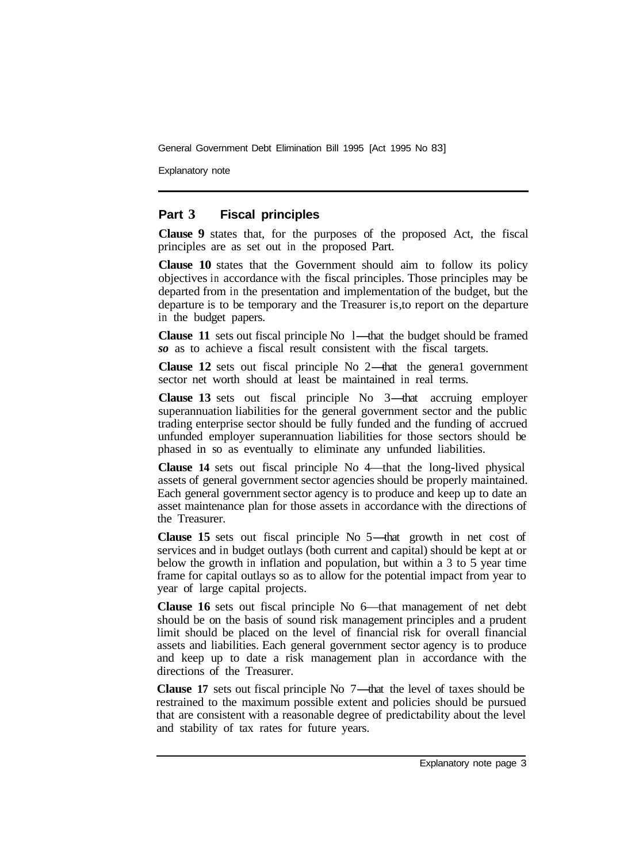Explanatory note

#### **Part 3 Fiscal principles**

**Clause 9** states that, for the purposes of the proposed Act, the fiscal principles are as set out in the proposed Part.

**Clause 10** states that the Government should aim to follow its policy objectives in accordance with the fiscal principles. Those principles may be departed from in the presentation and implementation of the budget, but the departure is to be temporary and the Treasurer is, to report on the departure in the budget papers.

**Clause 11** sets out fiscal principle No 1—that the budget should be framed *so* as to achieve a fiscal result consistent with the fiscal targets.

**Clause 12** sets out fiscal principle No 2—that the general government sector net worth should at least be maintained in real terms.

**Clause 13** sets out fiscal principle No 3—that accruing employer superannuation liabilities for the general government sector and the public trading enterprise sector should be fully funded and the funding of accrued unfunded employer superannuation liabilities for those sectors should be phased in so as eventually to eliminate any unfunded liabilities.

**Clause 14** sets out fiscal principle No 4—that the long-lived physical assets of general government sector agencies should be properly maintained. Each general government sector agency is to produce and keep up to date an asset maintenance plan for those assets in accordance with the directions of the Treasurer.

**Clause 15** sets out fiscal principle No 5—that growth in net cost of services and in budget outlays (both current and capital) should be kept at or below the growth in inflation and population, but within a 3 to 5 year time frame for capital outlays so as to allow for the potential impact from year to year of large capital projects.

**Clause 16** sets out fiscal principle No 6—that management of net debt should be on the basis of sound risk management principles and a prudent limit should be placed on the level of financial risk for overall financial assets and liabilities. Each general government sector agency is to produce and keep up to date a risk management plan in accordance with the directions of the Treasurer.

**Clause 17** sets out fiscal principle No 7—that the level of taxes should be restrained to the maximum possible extent and policies should be pursued that are consistent with a reasonable degree of predictability about the level and stability of tax rates for future years.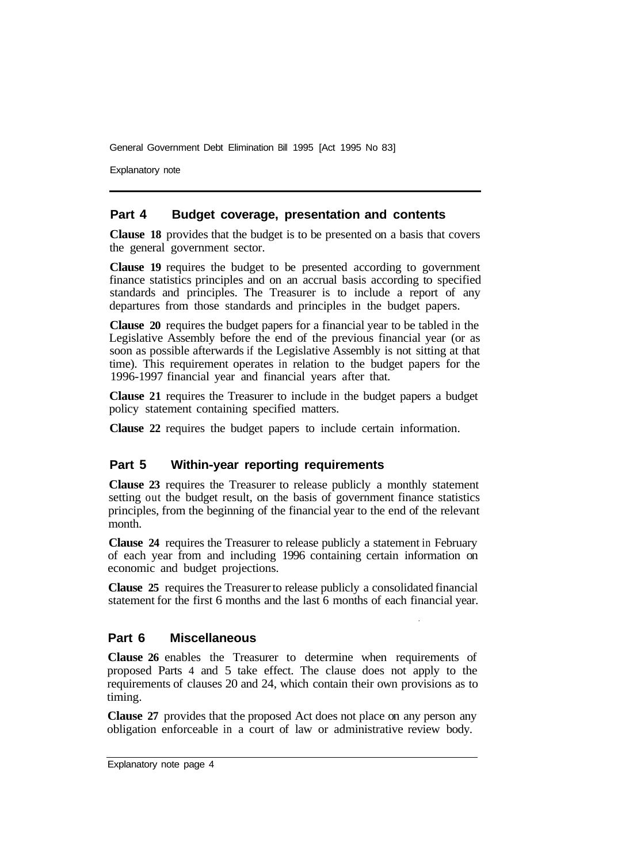Explanatory note

#### **Part 4 Budget coverage, presentation and contents**

**Clause 18** provides that the budget is to be presented on a basis that covers the general government sector.

**Clause 19** requires the budget to be presented according to government finance statistics principles and on an accrual basis according to specified standards and principles. The Treasurer is to include a report of any departures from those standards and principles in the budget papers.

**Clause 20** requires the budget papers for a financial year to be tabled in the Legislative Assembly before the end of the previous financial year (or as soon as possible afterwards if the Legislative Assembly is not sitting at that time). This requirement operates in relation to the budget papers for the 1996-1997 financial year and financial years after that.

**Clause 21** requires the Treasurer to include in the budget papers a budget policy statement containing specified matters.

**Clause 22** requires the budget papers to include certain information.

#### **Part 5 Within-year reporting requirements**

**Clause 23** requires the Treasurer to release publicly a monthly statement setting out the budget result, on the basis of government finance statistics principles, from the beginning of the financial year to the end of the relevant month.

**Clause 24** requires the Treasurer to release publicly a statement in February of each year from and including 1996 containing certain information on economic and budget projections.

**Clause 25** requires the Treasurer to release publicly a consolidated financial statement for the first 6 months and the last 6 months of each financial year.

#### **Part 6 Miscellaneous**

**Clause 26** enables the Treasurer to determine when requirements of proposed Parts 4 and 5 take effect. The clause does not apply to the requirements of clauses 20 and 24, which contain their own provisions as to timing.

**Clause 27** provides that the proposed Act does not place on any person any obligation enforceable in a court of law or administrative review body.

Explanatory note page 4